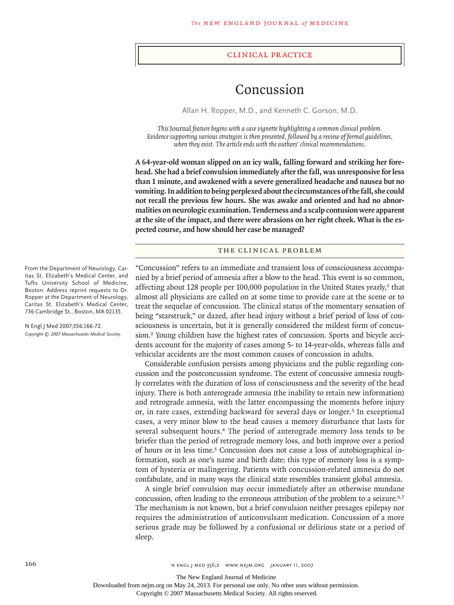#### clinical practice

# Concussion

Allan H. Ropper, M.D., and Kenneth C. Gorson, M.D.

*This* Journal *feature begins with a case vignette highlighting a common clinical problem. Evidence supporting various strategies is then presented, followed by a review of formal guidelines, when they exist. The article ends with the authors' clinical recommendations.* 

**A 64-year-old woman slipped on an icy walk, falling forward and striking her forehead. She had a brief convulsion immediately after the fall, was unresponsive for less than 1 minute, and awakened with a severe generalized headache and nausea but no vomiting. In addition to being perplexed about the circumstances of the fall, she could not recall the previous few hours. She was awake and oriented and had no abnormalities on neurologic examination. Tenderness and a scalp contusion were apparent at the site of the impact, and there were abrasions on her right cheek. What is the expected course, and how should her case be managed?**

## THE CLINICAL PROBLEM

"Concussion" refers to an immediate and transient loss of consciousness accompanied by a brief period of amnesia after a blow to the head. This event is so common, affecting about 128 people per 100,000 population in the United States yearly, $1$  that almost all physicians are called on at some time to provide care at the scene or to treat the sequelae of concussion. The clinical status of the momentary sensation of being "starstruck," or dazed, after head injury without a brief period of loss of consciousness is uncertain, but it is generally considered the mildest form of concussion.2 Young children have the highest rates of concussion. Sports and bicycle accidents account for the majority of cases among 5- to 14-year-olds, whereas falls and vehicular accidents are the most common causes of concussion in adults.

Considerable confusion persists among physicians and the public regarding concussion and the postconcussion syndrome. The extent of concussive amnesia roughly correlates with the duration of loss of consciousness and the severity of the head injury. There is both anterograde amnesia (the inability to retain new information) and retrograde amnesia, with the latter encompassing the moments before injury or, in rare cases, extending backward for several days or longer.<sup>3</sup> In exceptional cases, a very minor blow to the head causes a memory disturbance that lasts for several subsequent hours.4 The period of anterograde memory loss tends to be briefer than the period of retrograde memory loss, and both improve over a period of hours or in less time.5 Concussion does not cause a loss of autobiographical information, such as one's name and birth date; this type of memory loss is a symptom of hysteria or malingering. Patients with concussion-related amnesia do not confabulate, and in many ways the clinical state resembles transient global amnesia.

A single brief convulsion may occur immediately after an otherwise mundane concussion, often leading to the erroneous attribution of the problem to a seizure.<sup>6,7</sup> The mechanism is not known, but a brief convulsion neither presages epilepsy nor requires the administration of anticonvulsant medication. Concussion of a more serious grade may be followed by a confusional or delirious state or a period of sleep.

From the Department of Neurology, Caritas St. Elizabeth's Medical Center, and Tufts University School of Medicine, Boston. Address reprint requests to Dr. Ropper at the Department of Neurology, Caritas St. Elizabeth's Medical Center, 736 Cambridge St., Boston, MA 02135.

N Engl J Med 2007;356:166-72. *Copyright © 2007 Massachusetts Medical Society.*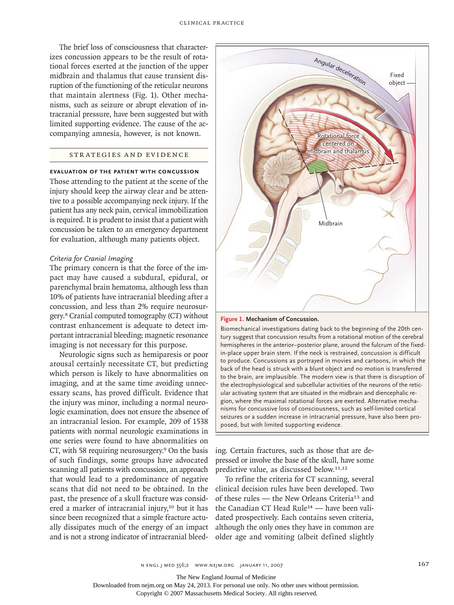The brief loss of consciousness that characterizes concussion appears to be the result of rotational forces exerted at the junction of the upper midbrain and thalamus that cause transient disruption of the functioning of the reticular neurons that maintain alertness (Fig. 1). Other mechanisms, such as seizure or abrupt elevation of intracranial pressure, have been suggested but with limited supporting evidence. The cause of the accompanying amnesia, however, is not known.

# STR ATEGIES AND EVIDENCE

# **Evaluation of the Patient with Concussion**

Those attending to the patient at the scene of the injury should keep the airway clear and be attentive to a possible accompanying neck injury. If the patient has any neck pain, cervical immobilization is required. It is prudent to insist that a patient with concussion be taken to an emergency department for evaluation, although many patients object.

#### *Criteria for Cranial Imaging*

The primary concern is that the force of the impact may have caused a subdural, epidural, or parenchymal brain hematoma, although less than 10% of patients have intracranial bleeding after a concussion, and less than 2% require neurosurgery.8 Cranial computed tomography (CT) without contrast enhancement is adequate to detect important intracranial bleeding; magnetic resonance imaging is not necessary for this purpose.

Neurologic signs such as hemiparesis or poor arousal certainly necessitate CT, but predicting which person is likely to have abnormalities on imaging, and at the same time avoiding unnecessary scans, has proved difficult. Evidence that the injury was minor, including a normal neurologic examination, does not ensure the absence of an intracranial lesion. For example, 209 of 1538 patients with normal neurologic examinations in one series were found to have abnormalities on CT, with 58 requiring neurosurgery.9 On the basis of such findings, some groups have advocated scanning all patients with concussion, an approach that would lead to a predominance of negative scans that did not need to be obtained. In the past, the presence of a skull fracture was considered a marker of intracranial injury,<sup>10</sup> but it has since been recognized that a simple fracture actually dissipates much of the energy of an impact and is not a strong indicator of intracranial bleed-



**Figure 1. Mechanism of Concussion.**

**COLOR FIGURE** back of the head is struck with a blunt object and no motion is transferred *Draft:* **04** *Date:* **11/22/06** the electrophysiological and subcellular activities of the neurons of the reticgion, where the maximal rotational forces are exerted. Alternative mecha-*Figure #:* **01** seizures or a sudden increase in intracranial pressure, have also been pro-*DE:* posed, but with limited supporting evidence. Biomechanical investigations dating back to the beginning of the 20th century suggest that concussion results from a rotational motion of the cerebral hemispheres in the anterior–posterior plane, around the fulcrum of the fixedin-place upper brain stem. If the neck is restrained, concussion is difficult to produce. Concussions as portrayed in movies and cartoons, in which the to the brain, are implausible. The modern view is that there is disruption of ular activating system that are situated in the midbrain and diencephalic renisms for concussive loss of consciousness, such as self-limited cortical

ing. Certain fractures, such as those that are depressed or involve the base of the skull, have some predictive value, as discussed below.11,12

To refine the criteria for CT scanning, several clinical decision rules have been developed. Two of these rules — the New Orleans Criteria13 and the Canadian CT Head Rule14 — have been validated prospectively. Each contains seven criteria, although the only ones they have in common are older age and vomiting (albeit defined slightly

The New England Journal of Medicine

Downloaded from nejm.org on May 24, 2013. For personal use only. No other uses without permission.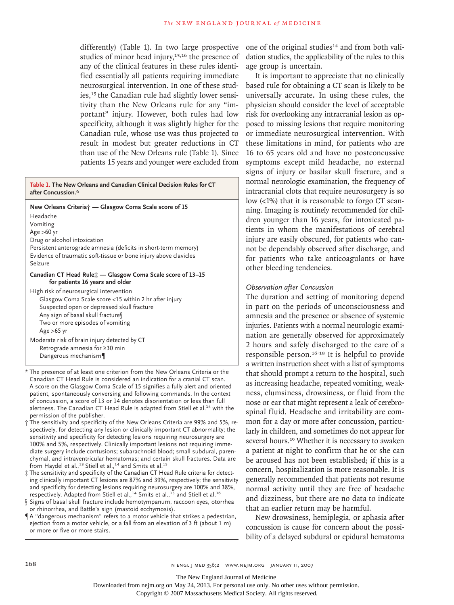differently) (Table 1). In two large prospective studies of minor head injury,<sup>15,16</sup> the presence of any of the clinical features in these rules identified essentially all patients requiring immediate neurosurgical intervention. In one of these studies,<sup>15</sup> the Canadian rule had slightly lower sensitivity than the New Orleans rule for any "important" injury. However, both rules had low specificity, although it was slightly higher for the Canadian rule, whose use was thus projected to result in modest but greater reductions in CT than use of the New Orleans rule (Table 1). Since patients 15 years and younger were excluded from

**Table 1. The New Orleans and Canadian Clinical Decision Rules for CT after Concussion.\***

**New Orleans Criteria† — Glasgow Coma Scale score of 15** Headache Vomiting Age >60 yr Drug or alcohol intoxication Persistent anterograde amnesia (deficits in short-term memory) Evidence of traumatic soft-tissue or bone injury above clavicles Seizure **Canadian CT Head Rule‡ — Glasgow Coma Scale score of 13–15 for patients 16 years and older** High risk of neurosurgical intervention

Glasgow Coma Scale score <15 within 2 hr after injury Suspected open or depressed skull fracture Any sign of basal skull fracture§ Two or more episodes of vomiting Age >65 yr Moderate risk of brain injury detected by CT

Retrograde amnesia for ≥30 min Dangerous mechanism¶

\* The presence of at least one criterion from the New Orleans Criteria or the Canadian CT Head Rule is considered an indication for a cranial CT scan. A score on the Glasgow Coma Scale of 15 signifies a fully alert and oriented patient, spontaneously conversing and following commands. In the context of concussion, a score of 13 or 14 denotes disorientation or less than full alertness. The Canadian CT Head Rule is adapted from Stiell et al.<sup>14</sup> with the permission of the publisher.

- † The sensitivity and specificity of the New Orleans Criteria are 99% and 5%, respectively, for detecting any lesion or clinically important CT abnormality; the sensitivity and specificity for detecting lesions requiring neurosurgery are 100% and 5%, respectively. Clinically important lesions not requiring immediate surgery include contusions; subarachnoid blood; small subdural, parenchymal, and intraventricular hematomas; and certain skull fractures. Data are from Haydel et al.,<sup>13</sup> Stiell et al.,<sup>14</sup> and Smits et al.<sup>15</sup>
- ‡ The sensitivity and specificity of the Canadian CT Head Rule criteria for detecting clinically important CT lesions are 87% and 39%, respectively; the sensitivity and specificity for detecting lesions requiring neurosurgery are 100% and 38%, respectively. Adapted from Stiell et al.,<sup>14</sup> Smits et al.,<sup>15</sup> and Stiell et al.<sup>16</sup>
- § Signs of basal skull fracture include hemotympanum, raccoon eyes, otorrhea or rhinorrhea, and Battle's sign (mastoid ecchymosis).
- ¶A "dangerous mechanism" refers to a motor vehicle that strikes a pedestrian, ejection from a motor vehicle, or a fall from an elevation of 3 ft (about 1 m) or more or five or more stairs.

one of the original studies<sup>14</sup> and from both validation studies, the applicability of the rules to this age group is uncertain.

It is important to appreciate that no clinically based rule for obtaining a CT scan is likely to be universally accurate. In using these rules, the physician should consider the level of acceptable risk for overlooking any intracranial lesion as opposed to missing lesions that require monitoring or immediate neurosurgical intervention. With these limitations in mind, for patients who are 16 to 65 years old and have no postconcussive symptoms except mild headache, no external signs of injury or basilar skull fracture, and a normal neurologic examination, the frequency of intracranial clots that require neurosurgery is so low (<1%) that it is reasonable to forgo CT scanning. Imaging is routinely recommended for children younger than 16 years, for intoxicated patients in whom the manifestations of cerebral injury are easily obscured, for patients who cannot be dependably observed after discharge, and for patients who take anticoagulants or have other bleeding tendencies.

# *Observation after Concussion*

The duration and setting of monitoring depend in part on the periods of unconsciousness and amnesia and the presence or absence of systemic injuries. Patients with a normal neurologic examination are generally observed for approximately 2 hours and safely discharged to the care of a responsible person.16-18 It is helpful to provide a written instruction sheet with a list of symptoms that should prompt a return to the hospital, such as increasing headache, repeated vomiting, weakness, clumsiness, drowsiness, or fluid from the nose or ear that might represent a leak of cerebrospinal fluid. Headache and irritability are common for a day or more after concussion, particularly in children, and sometimes do not appear for several hours.<sup>19</sup> Whether it is necessary to awaken a patient at night to confirm that he or she can be aroused has not been established; if this is a concern, hospitalization is more reasonable. It is generally recommended that patients not resume normal activity until they are free of headache and dizziness, but there are no data to indicate that an earlier return may be harmful.

New drowsiness, hemiplegia, or aphasia after concussion is cause for concern about the possibility of a delayed subdural or epidural hematoma

Downloaded from nejm.org on May 24, 2013. For personal use only. No other uses without permission.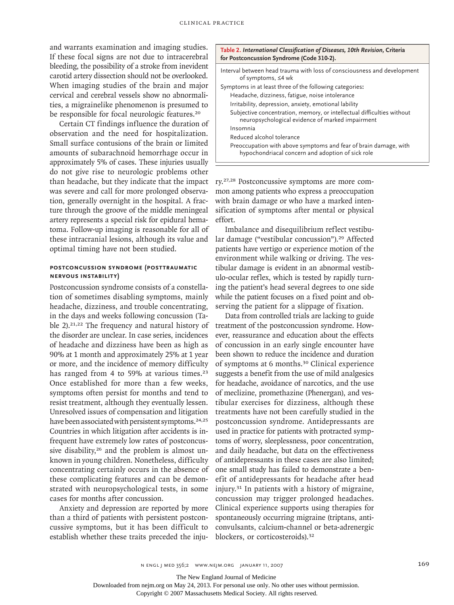and warrants examination and imaging studies. If these focal signs are not due to intracerebral bleeding, the possibility of a stroke from inevident carotid artery dissection should not be overlooked. When imaging studies of the brain and major cervical and cerebral vessels show no abnormalities, a migrainelike phenomenon is presumed to be responsible for focal neurologic features.<sup>20</sup>

Certain CT findings influence the duration of observation and the need for hospitalization. Small surface contusions of the brain or limited amounts of subarachnoid hemorrhage occur in approximately 5% of cases. These injuries usually do not give rise to neurologic problems other than headache, but they indicate that the impact was severe and call for more prolonged observation, generally overnight in the hospital. A fracture through the groove of the middle meningeal artery represents a special risk for epidural hematoma. Follow-up imaging is reasonable for all of these intracranial lesions, although its value and optimal timing have not been studied.

# **Postconcussion Syndrome (Posttraumatic Nervous Instability)**

Postconcussion syndrome consists of a constellation of sometimes disabling symptoms, mainly headache, dizziness, and trouble concentrating, in the days and weeks following concussion (Table 2).<sup>21,22</sup> The frequency and natural history of the disorder are unclear. In case series, incidences of headache and dizziness have been as high as 90% at 1 month and approximately 25% at 1 year or more, and the incidence of memory difficulty has ranged from 4 to 59% at various times.<sup>23</sup> Once established for more than a few weeks, symptoms often persist for months and tend to resist treatment, although they eventually lessen. Unresolved issues of compensation and litigation have been associated with persistent symptoms.<sup>24,25</sup> Countries in which litigation after accidents is infrequent have extremely low rates of postconcussive disability,<sup>26</sup> and the problem is almost unknown in young children. Nonetheless, difficulty concentrating certainly occurs in the absence of these complicating features and can be demonstrated with neuropsychological tests, in some cases for months after concussion.

Anxiety and depression are reported by more than a third of patients with persistent postconcussive symptoms, but it has been difficult to establish whether these traits preceded the inju-

| Table 2. International Classification of Diseases, 10th Revision, Criteria<br>for Postconcussion Syndrome (Code 310-2).    |  |  |  |
|----------------------------------------------------------------------------------------------------------------------------|--|--|--|
| Interval between head trauma with loss of consciousness and development<br>of symptoms, ≤4 wk                              |  |  |  |
| Symptoms in at least three of the following categories:                                                                    |  |  |  |
| Headache, dizziness, fatigue, noise intolerance                                                                            |  |  |  |
| Irritability, depression, anxiety, emotional lability                                                                      |  |  |  |
| Subjective concentration, memory, or intellectual difficulties without<br>neuropsychological evidence of marked impairment |  |  |  |
| Insomnia                                                                                                                   |  |  |  |
| Reduced alcohol tolerance                                                                                                  |  |  |  |
| Preoccupation with above symptoms and fear of brain damage, with<br>hypochondriacal concern and adoption of sick role      |  |  |  |

ry.27,28 Postconcussive symptoms are more common among patients who express a preoccupation with brain damage or who have a marked intensification of symptoms after mental or physical effort.

Imbalance and disequilibrium reflect vestibular damage ("vestibular concussion").29 Affected patients have vertigo or experience motion of the environment while walking or driving. The vestibular damage is evident in an abnormal vestibulo-ocular reflex, which is tested by rapidly turning the patient's head several degrees to one side while the patient focuses on a fixed point and observing the patient for a slippage of fixation.

Data from controlled trials are lacking to guide treatment of the postconcussion syndrome. However, reassurance and education about the effects of concussion in an early single encounter have been shown to reduce the incidence and duration of symptoms at 6 months.30 Clinical experience suggests a benefit from the use of mild analgesics for headache, avoidance of narcotics, and the use of meclizine, promethazine (Phenergan), and vestibular exercises for dizziness, although these treatments have not been carefully studied in the postconcussion syndrome. Antidepressants are used in practice for patients with protracted symptoms of worry, sleeplessness, poor concentration, and daily headache, but data on the effectiveness of antidepressants in these cases are also limited; one small study has failed to demonstrate a benefit of antidepressants for headache after head injury.31 In patients with a history of migraine, concussion may trigger prolonged headaches. Clinical experience supports using therapies for spontaneously occurring migraine (triptans, anticonvulsants, calcium-channel or beta-adrenergic blockers, or corticosteroids).<sup>32</sup>

The New England Journal of Medicine

Downloaded from nejm.org on May 24, 2013. For personal use only. No other uses without permission.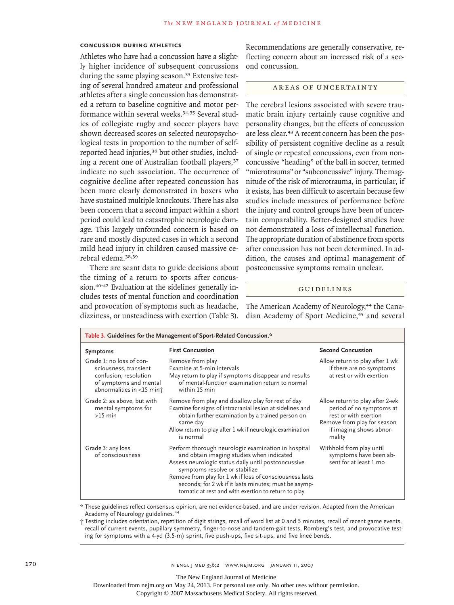### **Concussion during Athletics**

Athletes who have had a concussion have a slightly higher incidence of subsequent concussions during the same playing season.<sup>33</sup> Extensive testing of several hundred amateur and professional athletes after a single concussion has demonstrated a return to baseline cognitive and motor performance within several weeks.<sup>34,35</sup> Several studies of collegiate rugby and soccer players have shown decreased scores on selected neuropsychological tests in proportion to the number of selfreported head injuries,<sup>36</sup> but other studies, including a recent one of Australian football players,<sup>37</sup> indicate no such association. The occurrence of cognitive decline after repeated concussion has been more clearly demonstrated in boxers who have sustained multiple knockouts. There has also been concern that a second impact within a short period could lead to catastrophic neurologic damage. This largely unfounded concern is based on rare and mostly disputed cases in which a second mild head injury in children caused massive cerebral edema.38,39

There are scant data to guide decisions about the timing of a return to sports after concussion.40-42 Evaluation at the sidelines generally includes tests of mental function and coordination and provocation of symptoms such as headache, dizziness, or unsteadiness with exertion (Table 3).

Recommendations are generally conservative, reflecting concern about an increased risk of a second concussion.

#### AREAS OF UNCERTAINTY

The cerebral lesions associated with severe traumatic brain injury certainly cause cognitive and personality changes, but the effects of concussion are less clear.<sup>43</sup> A recent concern has been the possibility of persistent cognitive decline as a result of single or repeated concussions, even from nonconcussive "heading" of the ball in soccer, termed "microtrauma" or "subconcussive" injury. The magnitude of the risk of microtrauma, in particular, if it exists, has been difficult to ascertain because few studies include measures of performance before the injury and control groups have been of uncertain comparability. Better-designed studies have not demonstrated a loss of intellectual function. The appropriate duration of abstinence from sports after concussion has not been determined. In addition, the causes and optimal management of postconcussive symptoms remain unclear.

#### **GUIDELINES**

The American Academy of Neurology,<sup>44</sup> the Canadian Academy of Sport Medicine,<sup>45</sup> and several

| Table 3. Guidelines for the Management of Sport-Related Concussion.*                                                              |                                                                                                                                                                                                                                                                                                                                                                      |                                                                                                                                                          |  |
|-----------------------------------------------------------------------------------------------------------------------------------|----------------------------------------------------------------------------------------------------------------------------------------------------------------------------------------------------------------------------------------------------------------------------------------------------------------------------------------------------------------------|----------------------------------------------------------------------------------------------------------------------------------------------------------|--|
| <b>Symptoms</b>                                                                                                                   | <b>First Concussion</b>                                                                                                                                                                                                                                                                                                                                              | <b>Second Concussion</b>                                                                                                                                 |  |
| Grade 1: no loss of con-<br>sciousness, transient<br>confusion, resolution<br>of symptoms and mental<br>abnormalities in <15 min+ | Remove from play<br>Examine at 5-min intervals<br>May return to play if symptoms disappear and results<br>of mental-function examination return to normal<br>within 15 min                                                                                                                                                                                           | Allow return to play after 1 wk<br>if there are no symptoms<br>at rest or with exertion                                                                  |  |
| Grade 2: as above, but with<br>mental symptoms for<br>$>15$ min                                                                   | Remove from play and disallow play for rest of day<br>Examine for signs of intracranial lesion at sidelines and<br>obtain further examination by a trained person on<br>same day<br>Allow return to play after 1 wk if neurologic examination<br>is normal                                                                                                           | Allow return to play after 2-wk<br>period of no symptoms at<br>rest or with exertion<br>Remove from play for season<br>if imaging shows abnor-<br>mality |  |
| Grade 3: any loss<br>of consciousness                                                                                             | Perform thorough neurologic examination in hospital<br>and obtain imaging studies when indicated<br>Assess neurologic status daily until postconcussive<br>symptoms resolve or stabilize<br>Remove from play for 1 wk if loss of consciousness lasts<br>seconds; for 2 wk if it lasts minutes; must be asymp-<br>tomatic at rest and with exertion to return to play | Withhold from play until<br>symptoms have been ab-<br>sent for at least 1 mo                                                                             |  |

\* These guidelines reflect consensus opinion, are not evidence-based, and are under revision. Adapted from the American Academy of Neurology guidelines. 44

† Testing includes orientation, repetition of digit strings, recall of word list at 0 and 5 minutes, recall of recent game events, recall of current events, pupillary symmetry, finger-to-nose and tandem-gait tests, Romberg's test, and provocative testing for symptoms with a 4-yd (3.5-m) sprint, five push-ups, five sit-ups, and five knee bends.

The New England Journal of Medicine

Downloaded from nejm.org on May 24, 2013. For personal use only. No other uses without permission.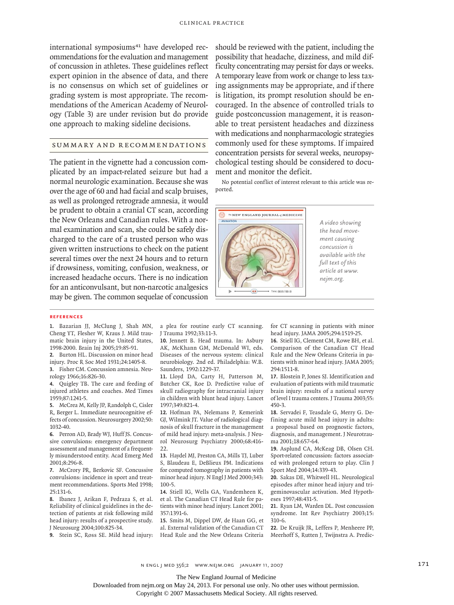international symposiums<sup>41</sup> have developed recommendations for the evaluation and management of concussion in athletes. These guidelines reflect expert opinion in the absence of data, and there is no consensus on which set of guidelines or grading system is most appropriate. The recommendations of the American Academy of Neurology (Table 3) are under revision but do provide one approach to making sideline decisions.

# SUMMARY AND RECOMMENDATIONS

The patient in the vignette had a concussion complicated by an impact-related seizure but had a normal neurologic examination. Because she was over the age of 60 and had facial and scalp bruises, as well as prolonged retrograde amnesia, it would be prudent to obtain a cranial CT scan, according the New Orleans and Canadian rules. With a normal examination and scan, she could be safely discharged to the care of a trusted person who was given written instructions to check on the patient several times over the next 24 hours and to return if drowsiness, vomiting, confusion, weakness, or increased headache occurs. There is no indication for an anticonvulsant, but non-narcotic analgesics may be given. The common sequelae of concussion should be reviewed with the patient, including the possibility that headache, dizziness, and mild difficulty concentrating may persist for days or weeks. A temporary leave from work or change to less taxing assignments may be appropriate, and if there is litigation, its prompt resolution should be encouraged. In the absence of controlled trials to guide postconcussion management, it is reasonable to treat persistent headaches and dizziness with medications and nonpharmacologic strategies commonly used for these symptoms. If impaired concentration persists for several weeks, neuropsychological testing should be considered to document and monitor the deficit.

No potential conflict of interest relevant to this article was reported.



*A video showing the head movement causing concussion is available with the full text of this article at www. nejm.org.*

#### **References**

Bazarian JJ, McClung J, Shah MN, **1.** Cheng YT, Flesher W, Kraus J. Mild traumatic brain injury in the United States, 1998-2000. Brain Inj 2005;19:85-91.

Burton HL. Discussion on minor head **2.** injury. Proc R Soc Med 1931;24:1405-8.

Fisher CM. Concussion amnesia. Neu-**3.** rology 1966;16:826-30.

Quigley TB. The care and feeding of **4.** injured athletes and coaches. Med Times 1959;87:1241-5.

McCrea M, Kelly JP, Randolph C, Cisler **5.** R, Berger L. Immediate neurocognitive effects of concussion. Neurosurgery 2002;50: 1032-40.

Perron AD, Brady WJ, Huff JS. Concus-**6.** sive convulsions: emergency department assessment and management of a frequently misunderstood entity. Acad Emerg Med 2001;8:296-8.

McCrory PR, Berkovic SF. Concussive **7.** convulsions: incidence in sport and treatment recommendations. Sports Med 1998; 25:131-6.

Ibanez J, Arikan F, Pedraza S, et al. **8.** Reliability of clinical guidelines in the detection of patients at risk following mild head injury: results of a prospective study. J Neurosurg 2004;100:825-34.

Stein SC, Ross SE. Mild head injury: **9.**

a plea for routine early CT scanning. J Trauma 1992;33:11-3.

10. Jennett B. Head trauma. In: Asbury AK, McKhann GM, McDonald WI, eds. Diseases of the nervous system: clinical neurobiology. 2nd ed. Philadelphia: W.B. Saunders, 1992:1229-37.

11. Lloyd DA, Carty H, Patterson M, Butcher CK, Roe D. Predictive value of skull radiography for intracranial injury in children with blunt head injury. Lancet 1997;349:821-4.

12. Hofman PA, Nelemans P, Kemerink GJ, Wilmink JT. Value of radiological diagnosis of skull fracture in the management of mild head injury: meta-analysis. J Neurol Neurosurg Psychiatry 2000;68:416- 22.

13. Haydel MJ, Preston CA, Mills TJ, Luber S, Blaudeau E, DeBlieux PM. Indications for computed tomography in patients with minor head injury. N Engl J Med 2000;343: 100-5.

14. Stiell IG, Wells GA, Vandemheen K, et al. The Canadian CT Head Rule for patients with minor head injury. Lancet 2001; 357:1391-6.

15. Smits M, Dippel DW, de Haan GG, et al. External validation of the Canadian CT Head Rule and the New Orleans Criteria

for CT scanning in patients with minor head injury. JAMA 2005;294:1519-25.

16. Stiell IG, Clement CM, Rowe BH, et al. Comparison of the Canadian CT Head Rule and the New Orleans Criteria in patients with minor head injury. JAMA 2005; 294:1511-8.

Blostein P, Jones SJ. Identification and **17.** evaluation of patients with mild traumatic brain injury: results of a national survey of level I trauma centers. J Trauma 2003;55: 450-3.

18. Servadei F, Teasdale G, Merry G. Defining acute mild head injury in adults: a proposal based on prognostic factors, diagnosis, and management. J Neurotrauma 2001;18:657-64.

Asplund CA, McKeag DB, Olsen CH. **19.** Sport-related concussion: factors associated with prolonged return to play. Clin J Sport Med 2004;14:339-43.

20. Sakas DE, Whitwell HL. Neurological episodes after minor head injury and trigeminovascular activation. Med Hypotheses 1997;48:431-5.

21. Ryan LM, Warden DL. Post concussion syndrome. Int Rev Psychiatry 2003;15: 310-6.

**22.** De Kruijk JR, Leffers P, Menheere PP, Meerhoff S, Rutten J, Twijnstra A. Predic-

n engl j med 356;2 www.nejm.org january 11, 2007 171

The New England Journal of Medicine

Downloaded from nejm.org on May 24, 2013. For personal use only. No other uses without permission.